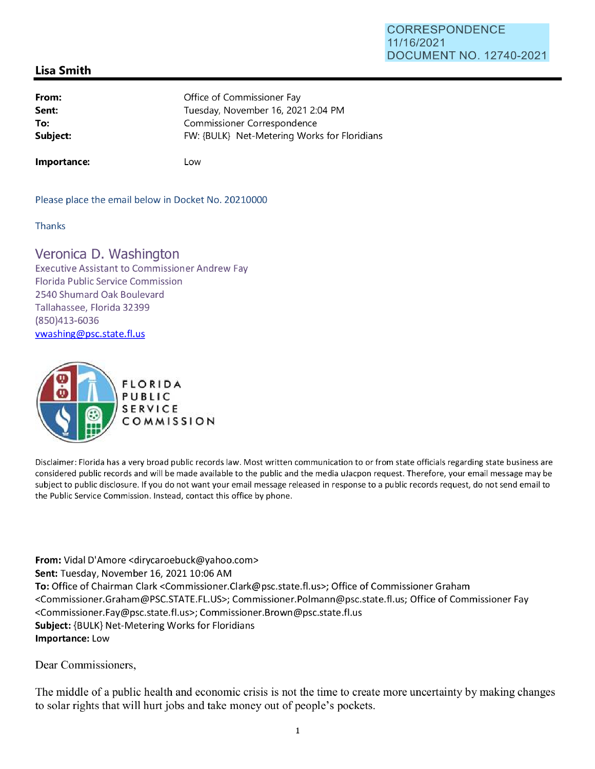## CORRESPONDENCE 11/16/2021 DOCUMENT NO. 12740-2021

## **Lisa Smith**

| From:    | Office of Commissioner Fay                   |
|----------|----------------------------------------------|
| Sent:    | Tuesday, November 16, 2021 2:04 PM           |
| To:      | Commissioner Correspondence                  |
| Subject: | FW: {BULK} Net-Metering Works for Floridians |
|          |                                              |

**Importance:** 

Low

Please place the email below in Docket No. 20210000

**Thanks** 

## Veronica D. Washington

Executive Assistant to Commissioner Andrew Fay Florida Public Service Commission 2540 Shumard Oak Boulevard Tallahassee, Florida 32399 (850)413-6036 vwashing@psc.state.fl.us



Disclaimer: Florida has a very broad public records law. Most written communication to or from state officials regarding state business are considered public records and will be made available to the public and the media uJacpon request. Therefore, your email message may be subject to public disclosure. If you do not want your email message released in response to a public records request, do not send email to the Public Service Commission. Instead, contact this office by phone.

**From:** Vidal D'Amore <dirycaroebuck@yahoo.com> **Sent:** Tuesday, November 16, 2021 10:06 AM **To:** Office of Chairman Clark <Commissioner.Clark@psc.state.fl.us>; Office of Commissioner Graham <Commissioner.Graham@PSC.STATE.FL.US>; Commissioner.Polmann@psc.state.fl.us; Office of Commissioner Fay <Commissioner.Fay@psc.state.fl.us>; Commissioner.Brown@psc.state.fl.us **Subject:** {BULK} Net-Metering Works for Floridians **Importance:** Low

Dear Commissioners,

The middle of a public health and economic crisis is not the time to create more uncertainty by making changes to solar rights that will hurt jobs and take money out of people's pockets.